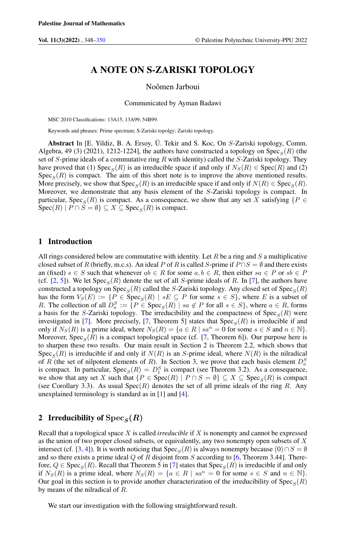# A NOTE ON S-ZARISKI TOPOLOGY

Noômen Jarboui

Communicated by Ayman Badawi

MSC 2010 Classifications: 13A15, 13A99, 54B99.

Keywords and phrases: Prime spectrum; S-Zariski topolgy; Zariski topology.

Abstract In [E. Yildiz, B. A. Ersoy, Ü. Tekir and S. Koc, On S-Zariski topology, Comm. Algebra, 49 (3) (2021), 1212-1224], the authors have constructed a topology on  $\text{Spec}_S(R)$  (the set of S-prime ideals of a commutative ring R with identity) called the S-Zariski topology. They have proved that (1) Spec<sub>S</sub>(R) is an irreducible space if and only if  $N_S(R) \in Spec(R)$  and (2)  $Spec_S(R)$  is compact. The aim of this short note is to improve the above mentioned results. More precisely, we show that  $Spec_S(R)$  is an irreducible space if and only if  $N(R) \in Spec_S(R)$ . Moreover, we demonstrate that any basis element of the S-Zariski topology is compact. In particular, Spec<sub>S</sub>(R) is compact. As a consequence, we show that any set X satisfying { $P \in$  $Spec(R) | P \cap S = \emptyset$   $\subseteq X \subseteq Spec_S(R)$  is compact.

## 1 Introduction

All rings considered below are commutative with identity. Let  $R$  be a ring and  $S$  a multiplicative closed subset of R (briefly, m.c.s). An ideal P of R is called S-prime if  $P \cap S = \emptyset$  and there exists an (fixed)  $s \in S$  such that whenever  $ab \in R$  for some  $a, b \in R$ , then either  $sa \in P$  or  $sb \in P$ (cf. [\[2,](#page-2-1) [5\]](#page-2-2)). We let  $Spec_S(R)$  denote the set of all S-prime ideals of R. In [\[7\]](#page-2-3), the authors have constructed a topology on  $\text{Spec}_S(R)$  called the S-Zariski topology. Any closed set of  $\text{Spec}_S(R)$ has the form  $V_S(E) := \{ P \in \text{Spec}_S(R) \mid sE \subseteq P \text{ for some } s \in S \}$ , where E is a subset of R. The collection of all  $D_a^S := \{P \in \text{Spec}_S(R) \mid sa \notin P \text{ for all } s \in S\}$ , where  $a \in R$ , forms a basis for the S-Zariski topology. The irreducibility and the compactness of  $Spec_S(R)$  were investigated in [\[7\]](#page-2-3). More precisely, [\[7,](#page-2-3) Theorem 5] states that  $Spec_S(R)$  is irreducible if and only if  $N_S(R)$  is a prime ideal, where  $N_S(R) = \{a \in R \mid sa^n = 0 \text{ for some } s \in S \text{ and } n \in \mathbb{N}\}.$ Moreover,  $Spec_S(R)$  is a compact topological space (cf. [\[7,](#page-2-3) Theorem 6]). Our purpose here is to sharpen these two results. Our main result in Section 2 is Theorem 2.2, which shows that Spec<sub>S</sub>(R) is irreducible if and only if  $N(R)$  is an S-prime ideal, where  $N(R)$  is the nilradical of R (the set of nilpotent elements of R). In Section 3, we prove that each basis element  $D_a^S$ is compact. In particular,  $Spec_S(R) = D_1^S$  is compact (see Theorem 3.2). As a consequence, we show that any set X such that  $\{P \in \text{Spec}(R) \mid P \cap S = \emptyset\} \subseteq X \subseteq \text{Spec}_S(R)$  is compact (see Corollary 3.3). As usual  $Spec(R)$  denotes the set of all prime ideals of the ring R. Any unexplained terminology is standard as in  $[1]$  and  $[4]$ .

# 2 Irreducibility of  $\text{Spec}_S(R)$

Recall that a topological space X is called *irreducible* if X is nonempty and cannot be expressed as the union of two proper closed subsets, or equivalently, any two nonempty open subsets of X intersect (cf. [\[3,](#page-2-6) [4\]](#page-2-5)). It is worth noticing that Spec<sub>S</sub>(R) is always nonempty because (0)∩S = ∅ and so there exists a prime ideal  $Q$  of R disjoint from S according to [\[6,](#page-2-7) Theorem 3.44]. Therefore,  $Q \in \text{Spec}_S(R)$ . Recall that Theorem 5 in [\[7\]](#page-2-3) states that  $\text{Spec}_S(R)$  is irreducible if and only if  $N_S(R)$  is a prime ideal, where  $N_S(R) = \{a \in R \mid sa^n = 0 \text{ for some } s \in S \text{ and } n \in \mathbb{N}\}.$ Our goal in this section is to provide another characterization of the irreducibility of  $\text{Spec}_S(R)$ by means of the nilradical of R.

We start our investigation with the following straightforward result.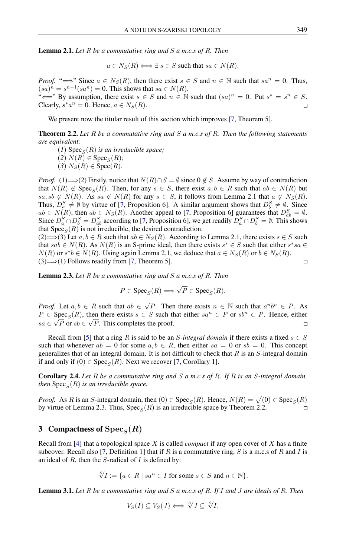Lemma 2.1. *Let* R *be a commutative ring and* S *a m.c.s of* R*. Then*

$$
a \in N_S(R) \Longleftrightarrow \exists s \in S \text{ such that } sa \in N(R).
$$

*Proof.* " $\Longrightarrow$ " Since  $a \in N_S(R)$ , then there exist  $s \in S$  and  $n \in \mathbb{N}$  such that  $sa^n = 0$ . Thus,  $(sa)^n = s^{n-1}(sa^n) = 0$ . This shows that  $sa \in N(R)$ . " $\Longleftarrow$ " By assumption, there exist  $s \in S$  and  $n \in \mathbb{N}$  such that  $(sa)^n = 0$ . Put  $s^* = s^n \in S$ . Clearly,  $s^* a^n = 0$ . Hence,  $a \in N_S(R)$ .  $\Box$ 

We present now the titular result of this section which improves [\[7,](#page-2-3) Theorem 5].

Theorem 2.2. *Let* R *be a commutative ring and* S *a m.c.s of* R*. Then the following statements are equivalent:*

 $(1)$  Spec<sub>S</sub> $(R)$  *is an irreducible space;* 

 $(2)$   $N(R) \in \text{Spec}_S(R)$ ;

 $(3)$   $N_S(R) \in Spec(R)$ .

*Proof.* (1)  $\Longrightarrow$  (2) Firstly, notice that  $N(R) \cap S = \emptyset$  since  $0 \notin S$ . Assume by way of contradiction that  $N(R) \notin \text{Spec}_S(R)$ . Then, for any  $s \in S$ , there exist  $a, b \in R$  such that  $ab \in N(R)$  but sa, sb  $\notin N(R)$ . As sa  $\notin N(R)$  for any  $s \in S$ , it follows from Lemma 2.1 that  $a \not\in N_S(R)$ . Thus,  $D_a^S \neq \emptyset$  by virtue of [\[7,](#page-2-3) Proposition 6]. A similar argument shows that  $D_b^S \neq \emptyset$ . Since  $ab \in N(R)$ , then  $ab \in N_S(R)$ . Another appeal to [\[7,](#page-2-3) Proposition 6] guarantees that  $D_{ab}^S = \emptyset$ . Since  $D_a^S \cap D_b^S = D_{ab}^S$  according to [\[7,](#page-2-3) Proposition 6], we get readily  $D_a^S \cap D_b^S = \emptyset$ . This shows that  $Spec_S(R)$  is not irreducible, the desired contradiction.

 $(2) \Longrightarrow (3)$  Let  $a, b \in R$  such that  $ab \in N_S(R)$ . According to Lemma 2.1, there exists  $s \in S$  such that  $sab \in N(R)$ . As  $N(R)$  is an S-prime ideal, then there exists  $s^* \in S$  such that either  $s^*sa \in S$  $N(R)$  or  $s^*b \in N(R)$ . Using again Lemma 2.1, we deduce that  $a \in N_S(R)$  or  $b \in N_S(R)$ .  $(3) \implies (1)$  Follows readily from [\[7,](#page-2-3) Theorem 5].  $\Box$ 

Lemma 2.3. *Let* R *be a commutative ring and* S *a m.c.s of* R*. Then*

$$
P \in \text{Spec}_S(R) \Longrightarrow \sqrt{P} \in \text{Spec}_S(R).
$$

 $\sqrt{P}$ . Then there exists  $n \in \mathbb{N}$  such that  $a^n b^n \in P$ . As *Proof.* Let  $a, b \in R$  such that  $ab \in R$  $P \in \text{Spec}_S(R)$ , then there exists  $s \in S$  such that either  $sa^n \in P$  or  $sb^n \in P$ . Hence, either  $sa \in \sqrt{P}$  or  $sb \in \sqrt{P}$ . This completes the proof.  $\Box$ 

Recall from [\[5\]](#page-2-2) that a ring R is said to be an *S*-integral domain if there exists a fixed  $s \in S$ such that whenever  $ab = 0$  for some  $a, b \in R$ , then either  $sa = 0$  or  $sb = 0$ . This concept generalizes that of an integral domain. It is not difficult to check that  $R$  is an  $S$ -integral domain if and only if  $(0) \in \text{Spec}_S(R)$ . Next we recover [\[7,](#page-2-3) Corollary 1].

Corollary 2.4. *Let* R *be a commutative ring and* S *a m.c.s of* R*. If* R *is an* S*-integral domain,*  $then\ {\rm Spec}_S(R)$  *is an irreducible space.* 

*Proof.* As R is an S-integral domain, then  $(0) \in \text{Spec}_S(R)$ . Hence,  $N(R) = \sqrt{(0)} \in \text{Spec}_S(R)$ by virtue of Lemma 2.3. Thus,  $Spec_S(R)$  is an irreducible space by Theorem 2.2.  $\Box$ 

### 3 Compactness of  $\text{Spec}_S(R)$

Recall from [\[4\]](#page-2-5) that a topological space X is called *compact* if any open cover of X has a finite subcover. Recall also [\[7,](#page-2-3) Definition 1] that if R is a commutative ring, S is a m.c.s of R and I is an ideal of  $R$ , then the  $S$ -radical of  $I$  is defined by:

$$
\sqrt[S]{I} := \{ a \in R \mid sa^n \in I \text{ for some } s \in S \text{ and } n \in \mathbb{N} \}.
$$

Lemma 3.1. *Let* R *be a commutative ring and* S *a m.c.s of* R*. If* I *and* J *are ideals of* R*. Then*

$$
V_S(I) \subseteq V_S(J) \Longleftrightarrow {}^S \!\!\sqrt{J} \subseteq {}^S \!\!\sqrt{I}.
$$